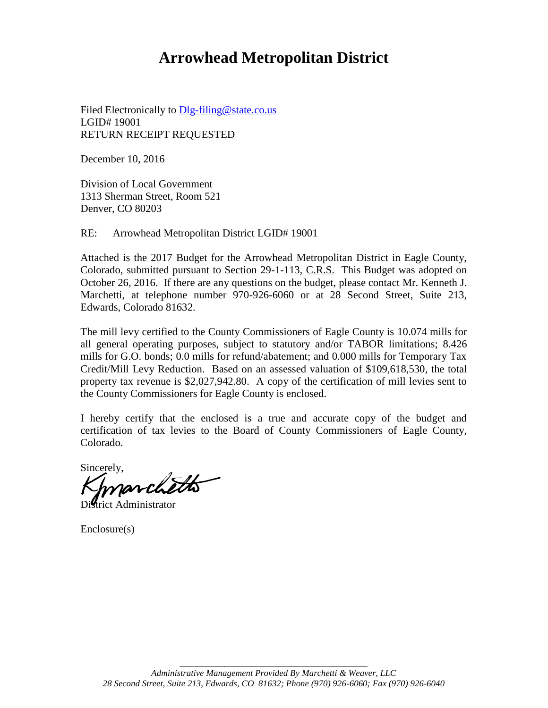# **Arrowhead Metropolitan District**

Filed Electronically to Dlg-filing@state.co.us LGID# 19001 RETURN RECEIPT REQUESTED

December 10, 2016

Division of Local Government 1313 Sherman Street, Room 521 Denver, CO 80203

RE: Arrowhead Metropolitan District LGID# 19001

Attached is the 2017 Budget for the Arrowhead Metropolitan District in Eagle County, Colorado, submitted pursuant to Section 29-1-113, C.R.S. This Budget was adopted on October 26, 2016. If there are any questions on the budget, please contact Mr. Kenneth J. Marchetti, at telephone number 970-926-6060 or at 28 Second Street, Suite 213, Edwards, Colorado 81632.

The mill levy certified to the County Commissioners of Eagle County is 10.074 mills for all general operating purposes, subject to statutory and/or TABOR limitations; 8.426 mills for G.O. bonds; 0.0 mills for refund/abatement; and 0.000 mills for Temporary Tax Credit/Mill Levy Reduction. Based on an assessed valuation of \$109,618,530, the total property tax revenue is \$2,027,942.80. A copy of the certification of mill levies sent to the County Commissioners for Eagle County is enclosed.

I hereby certify that the enclosed is a true and accurate copy of the budget and certification of tax levies to the Board of County Commissioners of Eagle County, Colorado.

Sincerely,

trict Administrator

Enclosure(s)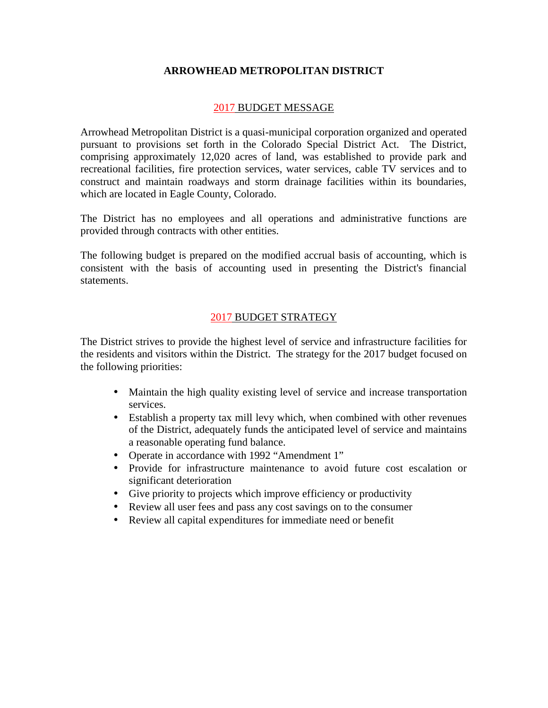## **ARROWHEAD METROPOLITAN DISTRICT**

#### 2017 BUDGET MESSAGE

Arrowhead Metropolitan District is a quasi-municipal corporation organized and operated pursuant to provisions set forth in the Colorado Special District Act. The District, comprising approximately 12,020 acres of land, was established to provide park and recreational facilities, fire protection services, water services, cable TV services and to construct and maintain roadways and storm drainage facilities within its boundaries, which are located in Eagle County, Colorado.

The District has no employees and all operations and administrative functions are provided through contracts with other entities.

The following budget is prepared on the modified accrual basis of accounting, which is consistent with the basis of accounting used in presenting the District's financial statements.

## 2017 BUDGET STRATEGY

The District strives to provide the highest level of service and infrastructure facilities for the residents and visitors within the District. The strategy for the 2017 budget focused on the following priorities:

- Maintain the high quality existing level of service and increase transportation services.
- Establish a property tax mill levy which, when combined with other revenues of the District, adequately funds the anticipated level of service and maintains a reasonable operating fund balance.
- Operate in accordance with 1992 "Amendment 1"
- Provide for infrastructure maintenance to avoid future cost escalation or significant deterioration
- Give priority to projects which improve efficiency or productivity
- Review all user fees and pass any cost savings on to the consumer
- Review all capital expenditures for immediate need or benefit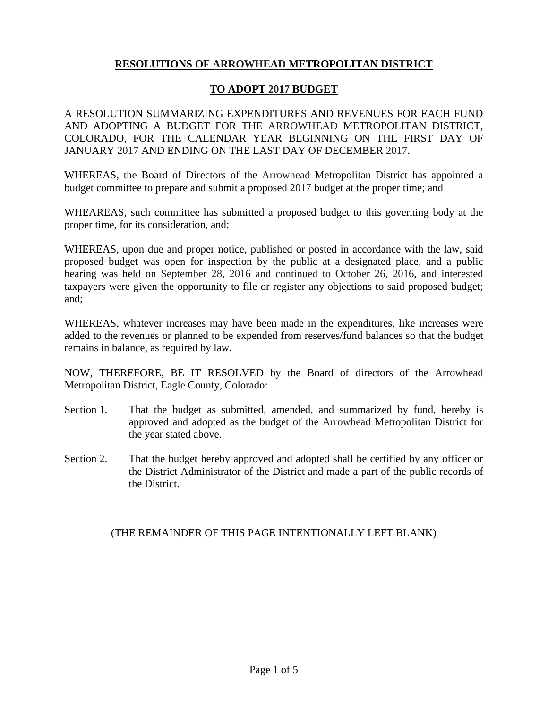## **RESOLUTIONS OF ARROWHEAD METROPOLITAN DISTRICT**

## **TO ADOPT 2017 BUDGET**

A RESOLUTION SUMMARIZING EXPENDITURES AND REVENUES FOR EACH FUND AND ADOPTING A BUDGET FOR THE ARROWHEAD METROPOLITAN DISTRICT, COLORADO, FOR THE CALENDAR YEAR BEGINNING ON THE FIRST DAY OF JANUARY 2017 AND ENDING ON THE LAST DAY OF DECEMBER 2017.

WHEREAS, the Board of Directors of the Arrowhead Metropolitan District has appointed a budget committee to prepare and submit a proposed 2017 budget at the proper time; and

WHEAREAS, such committee has submitted a proposed budget to this governing body at the proper time, for its consideration, and;

WHEREAS, upon due and proper notice, published or posted in accordance with the law, said proposed budget was open for inspection by the public at a designated place, and a public hearing was held on September 28, 2016 and continued to October 26, 2016, and interested taxpayers were given the opportunity to file or register any objections to said proposed budget; and;

WHEREAS, whatever increases may have been made in the expenditures, like increases were added to the revenues or planned to be expended from reserves/fund balances so that the budget remains in balance, as required by law.

NOW, THEREFORE, BE IT RESOLVED by the Board of directors of the Arrowhead Metropolitan District, Eagle County, Colorado:

- Section 1. That the budget as submitted, amended, and summarized by fund, hereby is approved and adopted as the budget of the Arrowhead Metropolitan District for the year stated above.
- Section 2. That the budget hereby approved and adopted shall be certified by any officer or the District Administrator of the District and made a part of the public records of the District.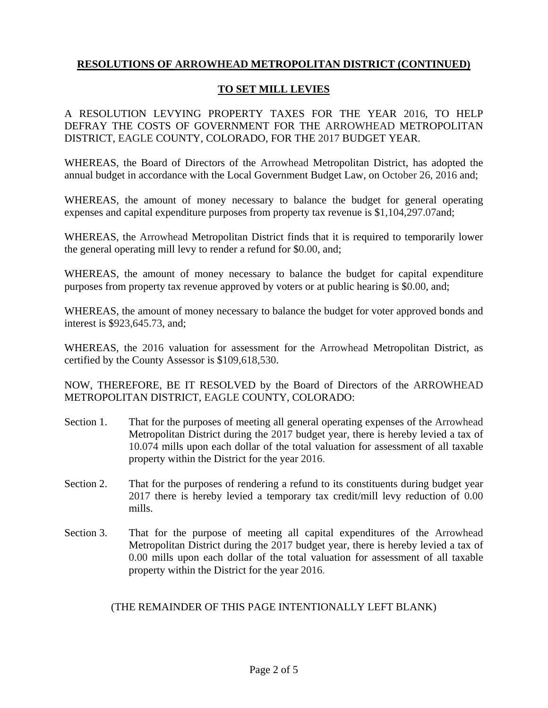## **TO SET MILL LEVIES**

A RESOLUTION LEVYING PROPERTY TAXES FOR THE YEAR 2016, TO HELP DEFRAY THE COSTS OF GOVERNMENT FOR THE ARROWHEAD METROPOLITAN DISTRICT, EAGLE COUNTY, COLORADO, FOR THE 2017 BUDGET YEAR.

WHEREAS, the Board of Directors of the Arrowhead Metropolitan District, has adopted the annual budget in accordance with the Local Government Budget Law, on October 26, 2016 and;

WHEREAS, the amount of money necessary to balance the budget for general operating expenses and capital expenditure purposes from property tax revenue is \$1,104,297.07and;

WHEREAS, the Arrowhead Metropolitan District finds that it is required to temporarily lower the general operating mill levy to render a refund for \$0.00, and;

WHEREAS, the amount of money necessary to balance the budget for capital expenditure purposes from property tax revenue approved by voters or at public hearing is \$0.00, and;

WHEREAS, the amount of money necessary to balance the budget for voter approved bonds and interest is \$923,645.73, and;

WHEREAS, the 2016 valuation for assessment for the Arrowhead Metropolitan District, as certified by the County Assessor is \$109,618,530.

NOW, THEREFORE, BE IT RESOLVED by the Board of Directors of the ARROWHEAD METROPOLITAN DISTRICT, EAGLE COUNTY, COLORADO:

- Section 1. That for the purposes of meeting all general operating expenses of the Arrowhead Metropolitan District during the 2017 budget year, there is hereby levied a tax of 10.074 mills upon each dollar of the total valuation for assessment of all taxable property within the District for the year 2016.
- Section 2. That for the purposes of rendering a refund to its constituents during budget year 2017 there is hereby levied a temporary tax credit/mill levy reduction of 0.00 mills.
- Section 3. That for the purpose of meeting all capital expenditures of the Arrowhead Metropolitan District during the 2017 budget year, there is hereby levied a tax of 0.00 mills upon each dollar of the total valuation for assessment of all taxable property within the District for the year 2016.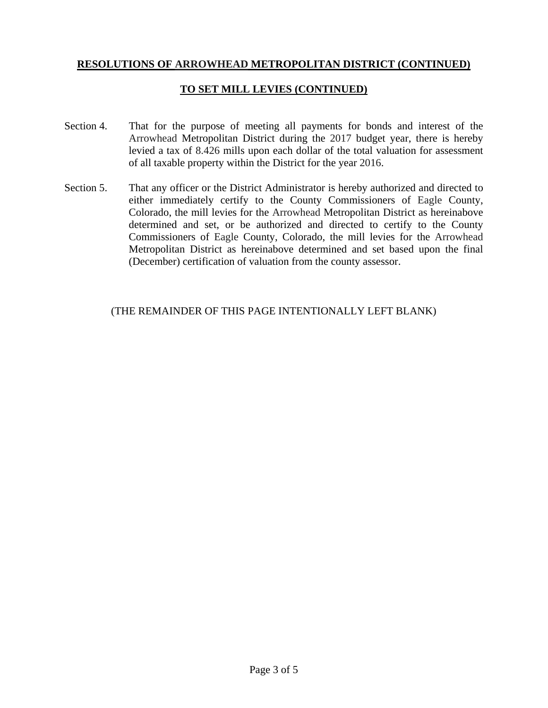## **TO SET MILL LEVIES (CONTINUED)**

- Section 4. That for the purpose of meeting all payments for bonds and interest of the Arrowhead Metropolitan District during the 2017 budget year, there is hereby levied a tax of 8.426 mills upon each dollar of the total valuation for assessment of all taxable property within the District for the year 2016.
- Section 5. That any officer or the District Administrator is hereby authorized and directed to either immediately certify to the County Commissioners of Eagle County, Colorado, the mill levies for the Arrowhead Metropolitan District as hereinabove determined and set, or be authorized and directed to certify to the County Commissioners of Eagle County, Colorado, the mill levies for the Arrowhead Metropolitan District as hereinabove determined and set based upon the final (December) certification of valuation from the county assessor.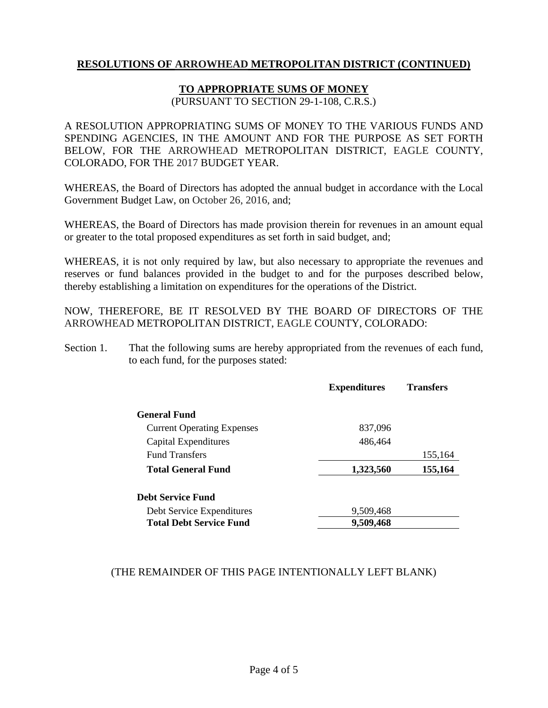## **TO APPROPRIATE SUMS OF MONEY**

(PURSUANT TO SECTION 29-1-108, C.R.S.)

A RESOLUTION APPROPRIATING SUMS OF MONEY TO THE VARIOUS FUNDS AND SPENDING AGENCIES, IN THE AMOUNT AND FOR THE PURPOSE AS SET FORTH BELOW, FOR THE ARROWHEAD METROPOLITAN DISTRICT, EAGLE COUNTY, COLORADO, FOR THE 2017 BUDGET YEAR.

WHEREAS, the Board of Directors has adopted the annual budget in accordance with the Local Government Budget Law, on October 26, 2016, and;

WHEREAS, the Board of Directors has made provision therein for revenues in an amount equal or greater to the total proposed expenditures as set forth in said budget, and;

WHEREAS, it is not only required by law, but also necessary to appropriate the revenues and reserves or fund balances provided in the budget to and for the purposes described below, thereby establishing a limitation on expenditures for the operations of the District.

NOW, THEREFORE, BE IT RESOLVED BY THE BOARD OF DIRECTORS OF THE ARROWHEAD METROPOLITAN DISTRICT, EAGLE COUNTY, COLORADO:

Section 1. That the following sums are hereby appropriated from the revenues of each fund, to each fund, for the purposes stated:

|                                   | <b>Expenditures</b> | <b>Transfers</b> |
|-----------------------------------|---------------------|------------------|
| <b>General Fund</b>               |                     |                  |
| <b>Current Operating Expenses</b> | 837,096             |                  |
| Capital Expenditures              | 486,464             |                  |
| <b>Fund Transfers</b>             |                     | 155,164          |
| Total General Fund                | 1,323,560           | 155,164          |
| <b>Debt Service Fund</b>          |                     |                  |
| Debt Service Expenditures         | 9,509,468           |                  |
| <b>Total Debt Service Fund</b>    | 9,509,468           |                  |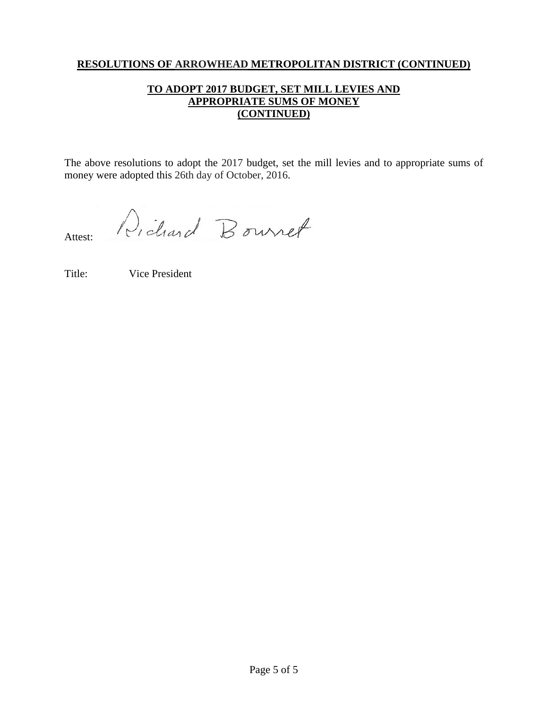## **TO ADOPT 2017 BUDGET, SET MILL LEVIES AND APPROPRIATE SUMS OF MONEY (CONTINUED)**

The above resolutions to adopt the 2017 budget, set the mill levies and to appropriate sums of money were adopted this 26th day of October, 2016.

Dichard Bournet Attest:

Title: Vice President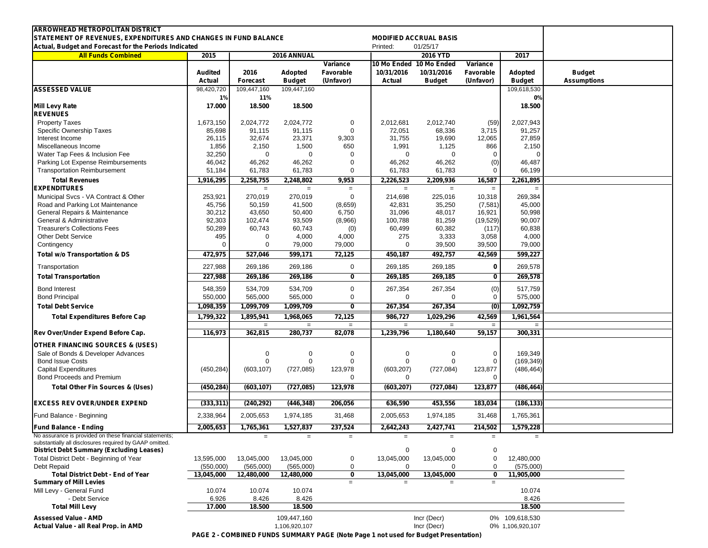| <b>ARROWHEAD METROPOLITAN DISTRICT</b><br>STATEMENT OF REVENUES, EXPENDITURES AND CHANGES IN FUND BALANCE  |                          |                         |                              |                                    |                                                 | <b>MODIFIED ACCRUAL BASIS</b> |                                    |                                    |                                     |
|------------------------------------------------------------------------------------------------------------|--------------------------|-------------------------|------------------------------|------------------------------------|-------------------------------------------------|-------------------------------|------------------------------------|------------------------------------|-------------------------------------|
| Actual, Budget and Forecast for the Periods Indicated                                                      |                          |                         |                              |                                    | Printed:                                        | 01/25/17                      |                                    |                                    |                                     |
| <b>All Funds Combined</b>                                                                                  | 2015                     |                         | 2016 ANNUAL                  |                                    |                                                 | 2016 YTD                      |                                    | 2017                               |                                     |
|                                                                                                            | <b>Audited</b><br>Actual | 2016<br><b>Forecast</b> | Adopted<br><b>Budget</b>     | Variance<br>Favorable<br>(Unfavor) | 10 Mo Ended 10 Mo Ended<br>10/31/2016<br>Actual | 10/31/2016<br><b>Budget</b>   | Variance<br>Favorable<br>(Unfavor) | Adopted<br><b>Budget</b>           | <b>Budget</b><br><b>Assumptions</b> |
| <b>ASSESSED VALUE</b>                                                                                      | 98,420,720               | 109,447,160             | 109,447,160                  |                                    |                                                 |                               |                                    | 109,618,530                        |                                     |
|                                                                                                            | 1%                       | 11%                     |                              |                                    |                                                 |                               |                                    | 0%                                 |                                     |
| <b>Mill Levy Rate</b><br><b>REVENUES</b>                                                                   | 17.000                   | 18.500                  | 18.500                       |                                    |                                                 |                               |                                    | 18.500                             |                                     |
| <b>Property Taxes</b>                                                                                      | 1,673,150                | 2,024,772               | 2,024,772                    | 0                                  | 2,012,681                                       | 2,012,740                     | (59)                               | 2,027,943                          |                                     |
| Specific Ownership Taxes<br>Interest Income                                                                | 85,698<br>26,115         | 91,115<br>32,674        | 91,115<br>23,371             | $\mathbf 0$<br>9,303               | 72,051<br>31,755                                | 68,336<br>19,690              | 3,715<br>12,065                    | 91,257<br>27,859                   |                                     |
| Miscellaneous Income                                                                                       | 1,856                    | 2,150                   | 1,500                        | 650                                | 1,991                                           | 1,125                         | 866                                | 2,150                              |                                     |
| Water Tap Fees & Inclusion Fee                                                                             | 32,250                   | $\mathbf 0$             | 0                            | $\Omega$                           | 0                                               | $\mathbf 0$                   | $\Omega$                           | $\mathbf 0$                        |                                     |
| Parking Lot Expense Reimbursements                                                                         | 46,042                   | 46,262                  | 46,262                       | $\Omega$                           | 46,262                                          | 46,262                        | (0)                                | 46,487                             |                                     |
| <b>Transportation Reimbursement</b>                                                                        | 51,184                   | 61,783                  | 61,783                       | $\Omega$                           | 61,783                                          | 61,783                        | 0                                  | 66,199                             |                                     |
| <b>Total Revenues</b>                                                                                      | 1,916,295                | 2,258,755               | 2,248,802                    | 9,953                              | 2,226,523                                       | 2,209,936                     | 16,587                             | 2,261,895                          |                                     |
| <b>EXPENDITURES</b><br>Municipal Svcs - VA Contract & Other                                                | 253,921                  | $\equiv$<br>270,019     | $=$<br>270,019               | $\equiv$<br>$\mathbf 0$            | $=$<br>214,698                                  | $\equiv$<br>225,016           | $=$<br>10,318                      | $\equiv$<br>269,384                |                                     |
| Road and Parking Lot Maintenance                                                                           | 45,756                   | 50,159                  | 41,500                       | (8,659)                            | 42,831                                          | 35,250                        | (7,581)                            | 45,000                             |                                     |
| General Repairs & Maintenance                                                                              | 30,212                   | 43,650                  | 50,400                       | 6,750                              | 31,096                                          | 48,017                        | 16,921                             | 50,998                             |                                     |
| General & Administrative                                                                                   | 92,303                   | 102,474                 | 93,509                       | (8,966)                            | 100,788                                         | 81,259                        | (19, 529)                          | 90,007                             |                                     |
| <b>Treasurer's Collections Fees</b>                                                                        | 50,289                   | 60,743                  | 60,743                       | (0)                                | 60,499                                          | 60,382                        | (117)                              | 60,838                             |                                     |
| <b>Other Debt Service</b><br>Contingency                                                                   | 495<br>$\Omega$          | $\Omega$<br>0           | 4,000<br>79,000              | 4,000<br>79,000                    | 275<br>$\Omega$                                 | 3,333<br>39,500               | 3,058<br>39,500                    | 4,000<br>79,000                    |                                     |
| <b>Total w/o Transportation &amp; DS</b>                                                                   | 472,975                  | 527,046                 | 599,171                      | 72,125                             | 450,187                                         | 492,757                       | 42,569                             | 599,227                            |                                     |
| Transportation                                                                                             | 227,988                  | 269,186                 | 269,186                      | $\mathbf 0$                        | 269,185                                         | 269,185                       | 0                                  | 269,578                            |                                     |
| <b>Total Transportation</b>                                                                                | 227,988                  | 269,186                 | 269,186                      | 0                                  | 269,185                                         | 269,185                       | $\mathbf 0$                        | 269,578                            |                                     |
| <b>Bond Interest</b><br><b>Bond Principal</b>                                                              | 548,359<br>550,000       | 534,709<br>565,000      | 534,709<br>565,000           | $\mathbf 0$<br>$\mathbf 0$         | 267,354<br>0                                    | 267,354<br>$\Omega$           | (0)<br>0                           | 517,759<br>575,000                 |                                     |
| <b>Total Debt Service</b>                                                                                  | 1,098,359                | 1,099,709               | 1,099,709                    | 0                                  | 267,354                                         | 267,354                       | (0)                                | 1,092,759                          |                                     |
| <b>Total Expenditures Before Cap</b>                                                                       | 1,799,322                | 1,895,941               | 1,968,065                    | 72,125                             | 986,727                                         | 1,029,296                     | 42,569                             | 1,961,564                          |                                     |
|                                                                                                            |                          | $\equiv$                | $\qquad \qquad =$            | $\equiv$                           | $\equiv$                                        | $\equiv$                      | $=$                                | $=$                                |                                     |
| Rev Over/Under Expend Before Cap.                                                                          | 116,973                  | 362,815                 | 280,737                      | 82,078                             | 1,239,796                                       | 1,180,640                     | 59,157                             | 300,331                            |                                     |
| <b>OTHER FINANCING SOURCES &amp; (USES)</b>                                                                |                          |                         |                              |                                    |                                                 |                               |                                    |                                    |                                     |
| Sale of Bonds & Developer Advances                                                                         |                          | 0                       | 0                            | $\mathbf 0$                        | 0                                               | 0                             | $\mathbf 0$                        | 169,349                            |                                     |
| <b>Bond Issue Costs</b><br><b>Capital Expenditures</b>                                                     | (450, 284)               | 0<br>(603, 107)         | 0<br>(727, 085)              | $\Omega$<br>123,978                | 0<br>(603, 207)                                 | 0<br>(727, 084)               | $\mathbf 0$<br>123,877             | (169, 349)<br>(486, 464)           |                                     |
| <b>Bond Proceeds and Premium</b>                                                                           |                          |                         |                              | $\Omega$                           | 0                                               |                               | $\Omega$                           |                                    |                                     |
| Total Other Fin Sources & (Uses)                                                                           | (450, 284)               | (603, 107)              | (727, 085)                   | 123,978                            | (603, 207)                                      | (727, 084)                    | 123,877                            | (486,464)                          |                                     |
|                                                                                                            |                          |                         |                              |                                    |                                                 |                               |                                    |                                    |                                     |
| <b>EXCESS REV OVER/UNDER EXPEND</b><br>Fund Balance - Beginning                                            | (333, 311)<br>2,338,964  | (240, 292)<br>2,005,653 | (446, 348)<br>1,974,185      | 206,056<br>31,468                  | 636,590<br>2,005,653                            | 453,556<br>1,974,185          | 183,034<br>31,468                  | (186, 133)<br>1,765,361            |                                     |
|                                                                                                            |                          |                         |                              |                                    |                                                 |                               |                                    |                                    |                                     |
| <b>Fund Balance - Ending</b><br>No assurance is provided on these financial statements;                    | 2,005,653                | 1,765,361               | 1,527,837                    | 237,524                            | 2,642,243                                       | 2,427,741                     | 214,502                            | 1,579,228                          |                                     |
| substantially all disclosures required by GAAP omitted.<br><b>District Debt Summary (Excluding Leases)</b> |                          | $=$                     | $\qquad \qquad =$            | $\equiv$                           | $=$<br>0                                        | $\equiv$<br>0                 | $=$<br>$\mathbf 0$                 | $=$                                |                                     |
| Total District Debt - Beginning of Year                                                                    | 13,595,000               | 13,045,000              | 13,045,000                   | $\pmb{0}$                          | 13,045,000                                      | 13,045,000                    | $\pmb{0}$                          | 12,480,000                         |                                     |
| Debt Repaid                                                                                                | (550,000)                | (565,000)               | (565,000)                    | $\mathbf 0$                        | $\Omega$                                        |                               | 0                                  | (575,000)                          |                                     |
| <b>Total District Debt - End of Year</b>                                                                   | 13,045,000               | 12,480,000              | 12,480,000                   | 0                                  | 13,045,000                                      | 13,045,000                    | 0                                  | 11,905,000                         |                                     |
| <b>Summary of Mill Levies</b><br>Mill Levy - General Fund                                                  | 10.074                   | 10.074                  | 10.074                       | $\equiv$                           | $\qquad \qquad =$                               | $\equiv$                      | $=$                                | 10.074                             |                                     |
| - Debt Service                                                                                             | 6.926                    | 8.426                   | 8.426                        |                                    |                                                 |                               |                                    | 8.426                              |                                     |
| <b>Total Mill Levy</b>                                                                                     | 17.000                   | 18.500                  | 18.500                       |                                    |                                                 |                               |                                    | 18.500                             |                                     |
| <b>Assessed Value - AMD</b><br>Actual Value - all Real Prop. in AMD                                        |                          |                         | 109,447,160<br>1,106,920,107 |                                    |                                                 | Incr (Decr)<br>Incr (Decr)    |                                    | 0% 109,618,530<br>0% 1,106,920,107 |                                     |
|                                                                                                            |                          |                         |                              |                                    |                                                 |                               |                                    |                                    |                                     |

**PAGE 2 - COMBINED FUNDS SUMMARY PAGE (Note Page 1 not used for Budget Presentation)**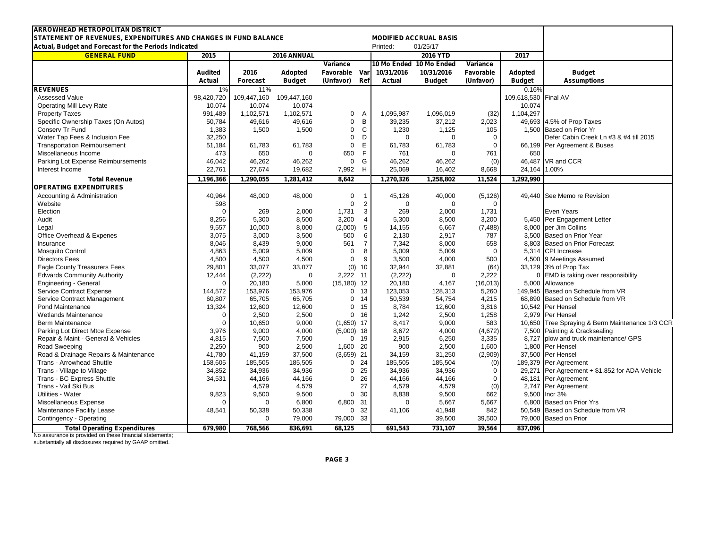| <b>IARROWHEAD METROPOLITAN DISTRICT</b><br>STATEMENT OF REVENUES, EXPENDITURES AND CHANGES IN FUND BALANCE<br><b>MODIFIED ACCRUAL BASIS</b> |                |                 |                 |                        |                |              |                         |                 |                |                                                                        |
|---------------------------------------------------------------------------------------------------------------------------------------------|----------------|-----------------|-----------------|------------------------|----------------|--------------|-------------------------|-----------------|----------------|------------------------------------------------------------------------|
| Actual, Budget and Forecast for the Periods Indicated                                                                                       |                |                 |                 |                        |                | Printed:     | 01/25/17                |                 |                |                                                                        |
| <b>GENERAL FUND</b>                                                                                                                         | 2015           |                 | 2016 ANNUAL     |                        |                | 2016 YTD     |                         |                 |                |                                                                        |
|                                                                                                                                             |                |                 |                 | Variance               |                |              | 10 Mo Ended 10 Mo Ended | Variance        | 2017           |                                                                        |
|                                                                                                                                             |                | 2016            |                 |                        |                | 10/31/2016   | 10/31/2016              | Favorable       |                |                                                                        |
|                                                                                                                                             | <b>Audited</b> |                 | Adopted         | Favorable Var          | Ref            |              |                         |                 | <b>Adopted</b> | <b>Budget</b><br><b>Assumptions</b>                                    |
|                                                                                                                                             | Actual         | <b>Forecast</b> | <b>Budget</b>   | (Unfavor)              |                | Actual       | <b>Budget</b>           | (Unfavor)       | <b>Budget</b>  |                                                                        |
| <b>REVENUES</b>                                                                                                                             | 1%             | 11%             |                 |                        |                |              |                         |                 | 0.16%          |                                                                        |
| Assessed Value                                                                                                                              | 98,420,720     | 109,447,160     | 109,447,160     |                        |                |              |                         |                 | 109,618,530    | Final AV                                                               |
| <b>Operating Mill Levy Rate</b>                                                                                                             | 10.074         | 10.074          | 10.074          |                        |                |              |                         |                 | 10.074         |                                                                        |
| <b>Property Taxes</b>                                                                                                                       | 991,489        | 1,102,571       | 1,102,571       | 0                      | A              | 1,095,987    | 1,096,019               | (32)            | 1,104,297      |                                                                        |
| Specific Ownership Taxes (On Autos)                                                                                                         | 50,784         | 49,616          | 49,616          | $\mathbf 0$            | B              | 39,235       | 37,212                  | 2,023           |                | 49,693 4.5% of Prop Taxes                                              |
| Conserv Tr Fund                                                                                                                             | 1,383          | 1,500           | 1,500           | $\mathbf 0$            | $\mathsf{C}$   | 1,230        | 1,125                   | 105             |                | 1.500 Based on Prior Yr                                                |
| Water Tap Fees & Inclusion Fee                                                                                                              | 32,250         |                 |                 | $\mathbf 0$            | D              | $\mathbf 0$  | $\Omega$                | $\mathbf 0$     |                | Defer Cabin Creek Ln #3 & #4 till 2015                                 |
| <b>Transportation Reimbursement</b>                                                                                                         | 51,184         | 61,783          | 61,783          | $\mathbf 0$            | E              | 61,783       | 61,783                  | $\mathbf 0$     |                | 66,199 Per Agreement & Buses                                           |
| Miscellaneous Income                                                                                                                        | 473            | 650             | $\mathbf 0$     | 650                    | F              | 761          | $\Omega$                | 761             | 650            |                                                                        |
| Parking Lot Expense Reimbursements                                                                                                          | 46,042         | 46,262          | 46,262          | 0                      | G              | 46,262       | 46,262                  | (0)             |                | 46,487 VR and CCR                                                      |
| Interest Income                                                                                                                             | 22,761         | 27,674          | 19,682          | 7,992                  | H              | 25,069       | 16,402                  | 8,668           | 24,164         | 1.00%                                                                  |
| <b>Total Revenue</b>                                                                                                                        | 1,196,366      | 1,290,055       | 1,281,412       | 8,642                  |                | 1,270,326    | 1,258,802               | 11,524          | 1,292,990      |                                                                        |
| <b>OPERATING EXPENDITURES</b>                                                                                                               |                |                 |                 |                        |                |              |                         |                 |                |                                                                        |
| Accounting & Administration                                                                                                                 | 40,964         | 48,000          | 48,000          | 0                      |                | 45,126       | 40,000                  | (5, 126)        |                | 49,440 See Memo re Revision                                            |
| Website                                                                                                                                     | 598            |                 |                 | $\mathbf 0$            | $\overline{2}$ | $\Omega$     | $\mathbf 0$             | $\Omega$        |                |                                                                        |
| Election                                                                                                                                    | $\Omega$       | 269             | 2,000           | 1,731                  | 3              | 269          | 2,000                   | 1,731           |                | <b>Even Years</b>                                                      |
| Audit                                                                                                                                       | 8,256          | 5,300           | 8,500           | 3,200                  | $\overline{4}$ | 5,300        | 8,500                   | 3,200           |                | 5,450 Per Engagement Letter                                            |
| Legal                                                                                                                                       | 9,557          | 10,000          | 8,000           | (2,000)                | 5              | 14,155       | 6,667                   | (7, 488)        |                | 8,000 per Jim Collins                                                  |
| Office Overhead & Expenes                                                                                                                   | 3,075          | 3,000           | 3,500           | 500                    | 6              | 2,130        | 2,917                   | 787             |                | 3.500 Based on Prior Year                                              |
| Insurance                                                                                                                                   | 8,046          | 8,439           | 9,000           | 561                    | $\overline{7}$ | 7,342        | 8,000                   | 658             |                | 8.803 Based on Prior Forecast                                          |
| <b>Mosquito Control</b>                                                                                                                     | 4,863          | 5,009           | 5,009           | $\mathbf 0$            | 8              | 5,009        | 5,009                   | $\Omega$        |                | 5,314 CPI Increase                                                     |
| <b>Directors Fees</b>                                                                                                                       | 4,500          | 4.500           | 4,500           | $\mathbf 0$            | $\mathbf{q}$   | 3.500        | 4.000                   | 500             |                | 4,500 9 Meetings Assumed                                               |
| Eagle County Treasurers Fees                                                                                                                | 29,801         | 33,077          | 33,077          | (0)                    | 10             | 32,944       | 32,881                  | (64)            |                | 33,129 3% of Prop Tax                                                  |
| <b>Edwards Community Authority</b>                                                                                                          | 12,444         | (2,222)         | $\mathbf 0$     | 2,222 11               |                | (2, 222)     | $\mathbf 0$             | 2,222           |                | 0 EMD is taking over responsibility                                    |
| Engineering - General                                                                                                                       | $\Omega$       | 20,180          | 5,000           | $(15, 180)$ 12         |                | 20,180       | 4,167                   | (16, 013)       |                | 5,000 Allowance                                                        |
| <b>Service Contract Expense</b>                                                                                                             | 144,572        | 153,976         | 153,976         | 0 <sub>13</sub>        |                | 123,053      | 128,313                 | 5,260           |                | 149,945 Based on Schedule from VR                                      |
| Service Contract Management                                                                                                                 | 60,807         | 65,705          | 65,705          | 0.14                   |                | 50,539       | 54,754                  | 4,215           | 68.890         | Based on Schedule from VR                                              |
| Pond Maintenance                                                                                                                            | 13,324         |                 |                 | $\mathbf 0$            | 15             | 8,784        | 12,600                  | 3,816           |                | 10,542 Per Hensel                                                      |
| <b>Wetlands Maintenance</b>                                                                                                                 | $\Omega$       | 12,600<br>2,500 | 12,600<br>2,500 | $\mathbf 0$            | 16             | 1,242        | 2,500                   | 1,258           |                | 2.979 Per Hensel                                                       |
| <b>Berm Maintenance</b>                                                                                                                     | $\Omega$       |                 |                 | $(1,650)$ 17           |                | 8,417        | 9,000                   | 583             |                | 10,650 Tree Spraying & Berm Maintenance 1/3 CCR                        |
|                                                                                                                                             | 3,976          | 10,650<br>9,000 | 9,000           |                        |                | 8,672        |                         | (4,672)         |                |                                                                        |
| Parking Lot Direct Mtce Expense                                                                                                             |                |                 | 4,000           | $(5,000)$ 18<br>$0$ 19 |                |              | 4,000<br>6,250          | 3,335           |                | 7,500 Painting & Cracksealing<br>8,727 plow and truck maintenance/ GPS |
| Repair & Maint - General & Vehicles                                                                                                         | 4,815<br>2,250 | 7,500<br>900    | 7,500           | 1,600 20               |                | 2,915<br>900 | 2,500                   | 1,600           |                | 1,800 Per Hensel                                                       |
| Road Sweeping                                                                                                                               | 41.780         | 41.159          | 2,500           |                        |                | 34.159       | 31.250                  |                 |                |                                                                        |
| Road & Drainage Repairs & Maintenance                                                                                                       |                |                 | 37,500          | $(3,659)$ 21           |                |              |                         | (2,909)         |                | 37,500 Per Hensel                                                      |
| <b>Trans - Arrowhead Shuttle</b>                                                                                                            | 158,605        | 185,505         | 185,505         | $0$ 24                 |                | 185,505      | 185,504                 | (0)<br>$\Omega$ |                | 189,379 Per Agreement                                                  |
| Trans - Village to Village                                                                                                                  | 34,852         | 34,936          | 34,936          | $\mathbf 0$            | 25             | 34,936       | 34,936                  |                 |                | 29,271 Per Agreement + \$1,852 for ADA Vehicle                         |
| Trans - BC Express Shuttle                                                                                                                  | 34,531         | 44,166          | 44,166          | $\mathbf{0}$           | 26             | 44,166       | 44,166                  | $\mathbf 0$     |                | 48,181 Per Agreement                                                   |
| Trans - Vail Ski Bus                                                                                                                        |                | 4,579           | 4,579           |                        | 27             | 4,579        | 4,579                   | (0)             |                | 2,747 Per Agreement                                                    |
| Utilities - Water                                                                                                                           | 9,823          | 9,500           | 9,500           | 0 <sub>30</sub>        |                | 8,838        | 9,500                   | 662             |                | 9,500 Incr 3%                                                          |
| Miscellaneous Expense                                                                                                                       |                | $\Omega$        | 6,800           | 6,800 31               |                | $\Omega$     | 5,667                   | 5,667           |                | 6,800 Based on Prior Yrs                                               |
| Maintenance Facility Lease                                                                                                                  | 48,541         | 50,338          | 50,338          | 0.32                   |                | 41,106       | 41,948                  | 842             |                | 50,549 Based on Schedule from VR                                       |
| Contingency - Operating                                                                                                                     |                | $\Omega$        | 79,000          | 79,000 33              |                |              | 39,500                  | 39,500          | 79,000         | <b>Based on Prior</b>                                                  |
| <b>Total Operating Expenditures</b>                                                                                                         | 679,980        | 768.566         | 836,691         | 68.125                 |                | 691,543      | 731.107                 | 39.564          | 837.096        |                                                                        |

No assurance is provided on these financial statements; substantially all disclosures required by GAAP omitted.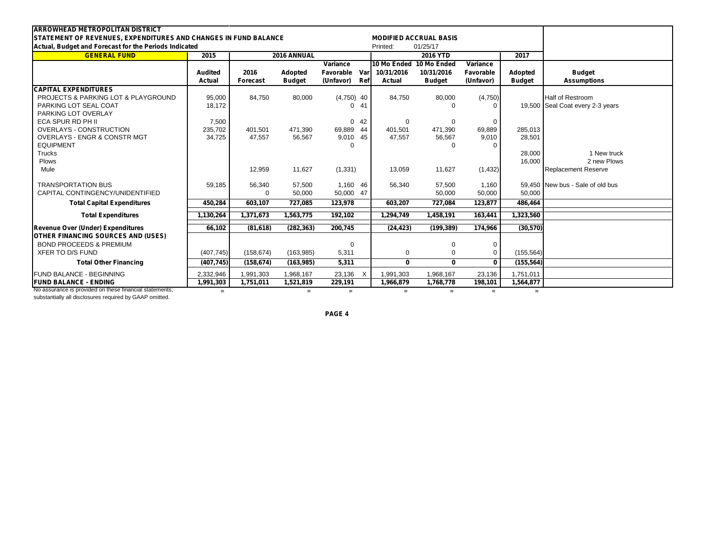| <b>ARROWHEAD METROPOLITAN DISTRICT</b>                                                                             |                |            |                               |              |      |               |                         |              |                  |                                  |
|--------------------------------------------------------------------------------------------------------------------|----------------|------------|-------------------------------|--------------|------|---------------|-------------------------|--------------|------------------|----------------------------------|
| STATEMENT OF REVENUES, EXPENDITURES AND CHANGES IN FUND BALANCE                                                    |                |            | <b>MODIFIED ACCRUAL BASIS</b> |              |      |               |                         |              |                  |                                  |
| Actual, Budget and Forecast for the Periods Indicated                                                              |                |            | Printed:                      | 01/25/17     |      |               |                         |              |                  |                                  |
| <b>GENERAL FUND</b>                                                                                                | 2015           |            | 2016 ANNUAL                   |              |      |               | <b>2016 YTD</b>         |              |                  |                                  |
|                                                                                                                    |                |            |                               | Variance     |      |               | 10 Mo Ended 10 Mo Ended | Variance     |                  |                                  |
|                                                                                                                    | <b>Audited</b> | 2016       | Adopted                       | Favorable    | Varl | 10/31/2016    | 10/31/2016              | Favorable    | Adopted          | <b>Budget</b>                    |
|                                                                                                                    | Actual         | Forecast   | <b>Budget</b>                 | (Unfavor)    | Ref  | <b>Actual</b> | <b>Budget</b>           | (Unfavor)    | <b>Budget</b>    | <b>Assumptions</b>               |
| <b>CAPITAL EXPENDITURES</b>                                                                                        |                |            |                               |              |      |               |                         |              |                  |                                  |
| <b>PROJECTS &amp; PARKING LOT &amp; PLAYGROUND</b>                                                                 | 95,000         | 84,750     | 80,000                        | $(4,750)$ 40 |      | 84,750        | 80,000                  | (4,750)      |                  | <b>Half of Restroom</b>          |
| PARKING LOT SEAL COAT                                                                                              | 18.172         |            |                               | 0            | 41   |               | $\Omega$                | $\Omega$     |                  | 19,500 Seal Coat every 2-3 years |
| PARKING LOT OVERLAY                                                                                                |                |            |                               |              |      |               |                         |              |                  |                                  |
| ECA SPUR RD PH II                                                                                                  | 7,500          |            |                               |              | 0.42 | $\Omega$      | $\mathbf 0$             | $\Omega$     |                  |                                  |
| <b>OVERLAYS - CONSTRUCTION</b>                                                                                     | 235,702        | 401.501    | 471.390                       | 69,889 44    |      | 401.501       | 471.390                 | 69,889       | 285,013          |                                  |
| <b>OVERLAYS - ENGR &amp; CONSTR MGT</b>                                                                            | 34,725         | 47,557     | 56,567                        | 9,010 45     |      | 47,557        | 56,567                  | 9,010        | 28,501           |                                  |
| <b>EQUIPMENT</b>                                                                                                   |                |            |                               | $\Omega$     |      |               | $\Omega$                |              |                  |                                  |
| Trucks<br>Plows                                                                                                    |                |            |                               |              |      |               |                         |              | 28,000<br>16,000 | 1 New truck<br>2 new Plows       |
| Mule                                                                                                               |                | 12,959     | 11,627                        | (1, 331)     |      | 13,059        | 11,627                  | (1, 432)     |                  | <b>Replacement Reserve</b>       |
|                                                                                                                    |                |            |                               |              |      |               |                         |              |                  |                                  |
| <b>TRANSPORTATION BUS</b>                                                                                          | 59,185         | 56,340     | 57,500                        | 1,160 46     |      | 56,340        | 57,500                  | 1,160        |                  | 59,450 New bus - Sale of old bus |
| CAPITAL CONTINGENCY/UNIDENTIFIED                                                                                   |                | $\Omega$   | 50,000                        | 50,000 47    |      |               | 50,000                  | 50,000       | 50,000           |                                  |
| <b>Total Capital Expenditures</b>                                                                                  | 450,284        | 603,107    | 727,085                       | 123,978      |      | 603,207       | 727,084                 | 123,877      | 486,464          |                                  |
| <b>Total Expenditures</b>                                                                                          | 1,130,264      | 1,371,673  | 1,563,775                     | 192,102      |      | 1,294,749     | 1,458,191               | 163,441      | 1,323,560        |                                  |
|                                                                                                                    |                |            |                               |              |      |               |                         |              |                  |                                  |
| Revenue Over (Under) Expenditures                                                                                  | 66.102         | (81, 618)  | (282, 363)                    | 200,745      |      | (24, 423)     | (199, 389)              | 174.966      | (30, 570)        |                                  |
| <b>OTHER FINANCING SOURCES AND (USES)</b>                                                                          |                |            |                               |              |      |               |                         |              |                  |                                  |
| <b>BOND PROCEEDS &amp; PREMIUM</b>                                                                                 |                |            |                               | 0            |      |               | $\mathbf 0$             | 0            |                  |                                  |
| <b>XFER TO D/S FUND</b>                                                                                            | (407, 745)     | (158, 674) | (163, 985)                    | 5,311        |      | 0             | $\mathbf 0$             | $\Omega$     | (155, 564)       |                                  |
| <b>Total Other Financing</b>                                                                                       | (407, 745)     | (158, 674) | (163, 985)                    | 5,311        |      | $\mathbf{0}$  | $\mathbf{0}$            | $\mathbf{0}$ | (155, 564)       |                                  |
| <b>FUND BALANCE - BEGINNING</b>                                                                                    | 2,332,946      | 1,991,303  | 1,968,167                     | 23,136       | X    | 1,991,303     | 1,968,167               | 23,136       | 1,751,011        |                                  |
| <b>FUND BALANCE - ENDING</b>                                                                                       | 1,991,303      | 1,751,011  | 1,521,819                     | 229,191      |      | 1,966,879     | 1,768,778               | 198,101      | 1,564,877        |                                  |
| No assurance is provided on these financial statements;<br>substantially all disclosures required by GAAP omitted. | $=$            |            | $=$                           | $=$          |      | $=$           | $=$                     | $=$          | $=$              |                                  |

**PAGE 4**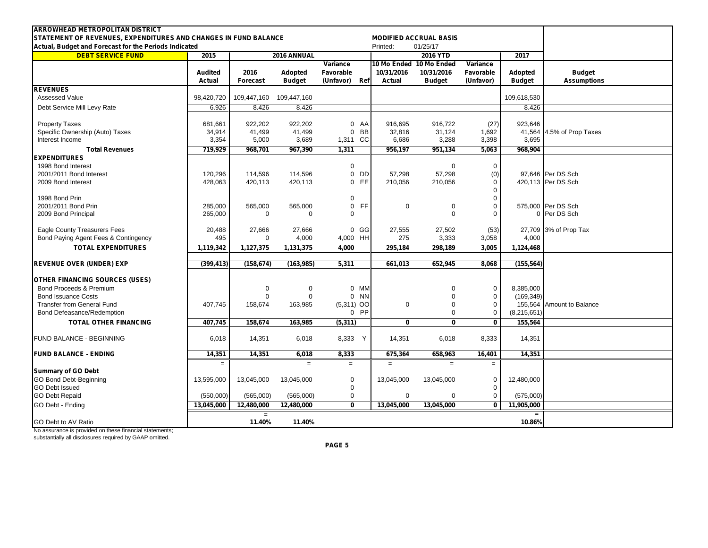| <b>ARROWHEAD METROPOLITAN DISTRICT</b>                                                                                   |                          |                  |                          |                            |                      |                                           |                        |                          |                                     |
|--------------------------------------------------------------------------------------------------------------------------|--------------------------|------------------|--------------------------|----------------------------|----------------------|-------------------------------------------|------------------------|--------------------------|-------------------------------------|
| STATEMENT OF REVENUES, EXPENDITURES AND CHANGES IN FUND BALANCE<br>Actual, Budget and Forecast for the Periods Indicated |                          |                  |                          |                            | Printed:             | <b>MODIFIED ACCRUAL BASIS</b><br>01/25/17 |                        |                          |                                     |
| <b>DEBT SERVICE FUND</b>                                                                                                 | 2015                     |                  | 2016 ANNUAL              |                            |                      | <b>2016 YTD</b>                           |                        |                          |                                     |
|                                                                                                                          |                          |                  |                          | Variance                   |                      | 10 Mo Ended 10 Mo Ended                   | Variance               | 2017                     |                                     |
|                                                                                                                          | <b>Audited</b><br>Actual | 2016<br>Forecast | Adopted<br><b>Budget</b> | Favorable<br>(Unfavor) Ref | 10/31/2016<br>Actual | 10/31/2016<br><b>Budget</b>               | Favorable<br>(Unfavor) | Adopted<br><b>Budget</b> | <b>Budget</b><br><b>Assumptions</b> |
| <b>REVENUES</b>                                                                                                          |                          |                  |                          |                            |                      |                                           |                        |                          |                                     |
| <b>Assessed Value</b>                                                                                                    | 98,420,720               | 109,447,160      | 109,447,160              |                            |                      |                                           |                        | 109,618,530              |                                     |
| Debt Service Mill Levy Rate                                                                                              | 6.926                    | 8.426            | 8.426                    |                            |                      |                                           |                        | 8.426                    |                                     |
| <b>Property Taxes</b>                                                                                                    | 681.661                  | 922.202          | 922.202                  | 0 <sub>A</sub> A           | 916.695              | 916.722                                   | (27)                   | 923.646                  |                                     |
| Specific Ownership (Auto) Taxes                                                                                          | 34,914                   | 41,499           | 41.499                   | <b>BB</b><br>$\mathbf{0}$  | 32,816               | 31,124                                    | 1.692                  |                          | 41,564 4.5% of Prop Taxes           |
| Interest Income                                                                                                          | 3,354                    | 5,000            | 3,689                    | 1,311 CC                   | 6,686                | 3,288                                     | 3,398                  | 3,695                    |                                     |
| <b>Total Revenues</b>                                                                                                    | 719,929                  | 968,701          | 967,390                  | 1,311                      | 956,197              | 951,134                                   | 5,063                  | 968,904                  |                                     |
| <b>EXPENDITURES</b>                                                                                                      |                          |                  |                          |                            |                      |                                           |                        |                          |                                     |
| 1998 Bond Interest                                                                                                       |                          |                  |                          | $\mathbf 0$                |                      | $\mathbf 0$                               | $\mathbf 0$            |                          |                                     |
| 2001/2011 Bond Interest                                                                                                  | 120,296                  | 114,596          | 114,596                  | $\mathbf 0$<br>DD          | 57,298               | 57,298                                    | (0)                    |                          | 97,646 Per DS Sch                   |
| 2009 Bond Interest                                                                                                       | 428,063                  | 420,113          | 420,113                  | $\mathbf{0}$<br>EE         | 210,056              | 210,056                                   | $\mathbf 0$            |                          | 420,113 Per DS Sch                  |
|                                                                                                                          |                          |                  |                          |                            |                      |                                           | $\mathbf 0$            |                          |                                     |
| 1998 Bond Prin                                                                                                           |                          |                  |                          | $\mathbf 0$                |                      |                                           | $\mathbf 0$            |                          |                                     |
| 2001/2011 Bond Prin                                                                                                      | 285,000                  | 565,000          | 565,000                  | $\mathbf 0$<br>FF.         | 0                    | $\mathbf 0$                               | $\Omega$               |                          | 575,000 Per DS Sch                  |
| 2009 Bond Principal                                                                                                      | 265,000                  | $\mathbf 0$      | $\Omega$                 | $\Omega$                   |                      | $\Omega$                                  | $\Omega$               |                          | 0 Per DS Sch                        |
| <b>Eagle County Treasurers Fees</b>                                                                                      | 20,488                   | 27,666           | 27,666                   | $0$ GG                     | 27,555               | 27,502                                    | (53)                   |                          | 27,709 3% of Prop Tax               |
| Bond Paying Agent Fees & Contingency                                                                                     | 495                      | $\mathbf 0$      | 4,000                    | 4,000 HH                   | 275                  | 3,333                                     | 3,058                  | 4,000                    |                                     |
| <b>TOTAL EXPENDITURES</b>                                                                                                | 1,119,342                | 1,127,375        | 1,131,375                | 4,000                      | 295,184              | 298,189                                   | 3.005                  | 1,124,468                |                                     |
| <b>REVENUE OVER (UNDER) EXP</b>                                                                                          | (399, 413)               | (158, 674)       | (163, 985)               | 5,311                      | 661,013              | 652,945                                   | 8.068                  | (155, 564)               |                                     |
|                                                                                                                          |                          |                  |                          |                            |                      |                                           |                        |                          |                                     |
| <b>OTHER FINANCING SOURCES (USES)</b>                                                                                    |                          |                  |                          |                            |                      |                                           |                        |                          |                                     |
| Bond Proceeds & Premium                                                                                                  |                          | $\mathbf 0$      | $\Omega$                 | 0 MM                       |                      | $\Omega$                                  | $\mathbf 0$            | 8,385,000                |                                     |
| <b>Bond Issuance Costs</b>                                                                                               |                          | $\mathbf 0$      | $\mathbf 0$              | $0$ NN                     |                      | $\mathbf 0$                               | $\mathbf 0$            | (169, 349)               |                                     |
| <b>Transfer from General Fund</b>                                                                                        | 407,745                  | 158,674          | 163,985                  | $(5,311)$ OO               | 0                    | $\mathbf 0$                               | $\mathbf 0$            |                          | 155,564 Amount to Balance           |
| Bond Defeasance/Redemption                                                                                               |                          |                  |                          | $0$ PP                     |                      | $\mathbf 0$                               | $\mathbf 0$            | (8,215,651)              |                                     |
| <b>TOTAL OTHER FINANCING</b>                                                                                             | 407,745                  | 158,674          | 163,985                  | (5, 311)                   | 0                    | 0                                         | $\mathbf 0$            | 155,564                  |                                     |
| FUND BALANCE - BEGINNING                                                                                                 | 6,018                    | 14,351           | 6,018                    | 8,333 Y                    | 14,351               | 6,018                                     | 8,333                  | 14,351                   |                                     |
|                                                                                                                          |                          |                  |                          |                            |                      |                                           |                        |                          |                                     |
| <b>FUND BALANCE - ENDING</b>                                                                                             | 14,351                   | 14,351           | 6,018                    | 8,333                      | 675,364              | 658,963                                   | 16,401                 | 14,351                   |                                     |
| <b>Summary of GO Debt</b>                                                                                                | $\equiv$                 |                  | $=$                      | $=$                        | $=$                  | $=$                                       | $=$                    |                          |                                     |
| <b>GO Bond Debt-Beginning</b>                                                                                            | 13,595,000               | 13,045,000       | 13,045,000               | 0                          | 13,045,000           | 13,045,000                                | $\mathbf 0$            | 12,480,000               |                                     |
| <b>GO Debt Issued</b>                                                                                                    |                          |                  |                          | $\mathbf 0$                |                      |                                           | $\Omega$               |                          |                                     |
| <b>GO Debt Repaid</b>                                                                                                    | (550,000)                | (565,000)        | (565,000)                | $\mathbf 0$                | $\mathbf 0$          | $\mathbf 0$                               | $\mathbf 0$            | (575,000)                |                                     |
| GO Debt - Ending                                                                                                         | 13,045,000               | 12,480,000       | 12,480,000               | $\overline{0}$             | 13,045,000           | 13,045,000                                | $\mathbf{0}$           | 11,905,000               |                                     |
|                                                                                                                          |                          | $\equiv$         |                          |                            |                      |                                           |                        | $=$                      |                                     |
| <b>GO Debt to AV Ratio</b>                                                                                               |                          | 11.40%           | 11.40%                   |                            |                      |                                           |                        | 10.86%                   |                                     |

No assurance is provided on these financial statements; substantially all disclosures required by GAAP omitted.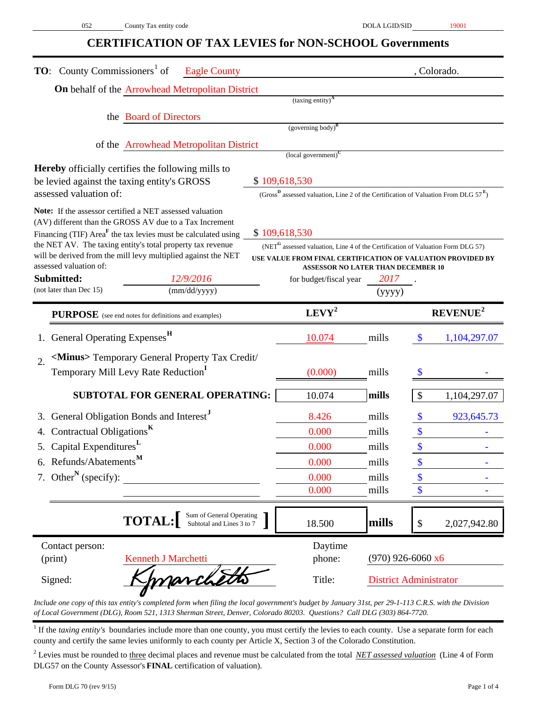## **CERTIFICATION OF TAX LEVIES for NON-SCHOOL Governments**

| <b>TO:</b> County Commissioners <sup>1</sup> of<br><b>Eagle County</b>                                                                  |        |                                                                                                    |                     |                           | , Colorado.          |
|-----------------------------------------------------------------------------------------------------------------------------------------|--------|----------------------------------------------------------------------------------------------------|---------------------|---------------------------|----------------------|
| On behalf of the Arrowhead Metropolitan District                                                                                        |        |                                                                                                    |                     |                           |                      |
|                                                                                                                                         |        | $(taxing entity)^A$                                                                                |                     |                           |                      |
| the Board of Directors                                                                                                                  |        | $(governing body)^B$                                                                               |                     |                           |                      |
|                                                                                                                                         |        |                                                                                                    |                     |                           |                      |
| of the Arrowhead Metropolitan District                                                                                                  |        | $\left($ local government $\right)^{C}$                                                            |                     |                           |                      |
| <b>Hereby</b> officially certifies the following mills to                                                                               |        |                                                                                                    |                     |                           |                      |
| be levied against the taxing entity's GROSS                                                                                             |        | \$109,618,530                                                                                      |                     |                           |                      |
| assessed valuation of:                                                                                                                  |        | (Gross <sup>B</sup> assessed valuation, Line 2 of the Certification of Valuation From DLG $57^E$ ) |                     |                           |                      |
| Note: If the assessor certified a NET assessed valuation                                                                                |        |                                                                                                    |                     |                           |                      |
| (AV) different than the GROSS AV due to a Tax Increment                                                                                 |        | \$109,618,530                                                                                      |                     |                           |                      |
| Financing (TIF) Area <sup>F</sup> the tax levies must be calculated using<br>the NET AV. The taxing entity's total property tax revenue |        | $(\text{NET}^{\text{G}}$ assessed valuation, Line 4 of the Certification of Valuation Form DLG 57) |                     |                           |                      |
| will be derived from the mill levy multiplied against the NET                                                                           |        | USE VALUE FROM FINAL CERTIFICATION OF VALUATION PROVIDED BY                                        |                     |                           |                      |
| assessed valuation of:<br>Submitted:<br>12/9/2016                                                                                       |        | <b>ASSESSOR NO LATER THAN DECEMBER 10</b>                                                          | 2017                |                           |                      |
| (not later than Dec 15)<br>(mm/dd/yyyy)                                                                                                 |        | for budget/fiscal year                                                                             | (yyyy)              |                           |                      |
|                                                                                                                                         |        |                                                                                                    |                     |                           |                      |
| <b>PURPOSE</b> (see end notes for definitions and examples)                                                                             |        | $LEVY^2$                                                                                           |                     |                           | REVENUE <sup>2</sup> |
| General Operating Expenses <sup>H</sup>                                                                                                 |        | 10.074                                                                                             | mills               | \$                        | 1,104,297.07         |
| <minus> Temporary General Property Tax Credit/<br/><math>\overline{2}</math>.</minus>                                                   |        |                                                                                                    |                     |                           |                      |
| Temporary Mill Levy Rate Reduction                                                                                                      |        | (0.000)                                                                                            | mills               |                           |                      |
| <b>SUBTOTAL FOR GENERAL OPERATING:</b>                                                                                                  |        | 10.074                                                                                             | mills               | $\boldsymbol{\mathsf{S}}$ | 1,104,297.07         |
|                                                                                                                                         |        |                                                                                                    |                     |                           |                      |
| General Obligation Bonds and Interest <sup>J</sup><br>3.                                                                                |        | 8.426                                                                                              | mills               | $\boldsymbol{\mathsf{S}}$ | 923,645.73           |
| Contractual Obligations <sup>K</sup><br>4.                                                                                              |        | 0.000                                                                                              | mills               | \$                        |                      |
| 5. Capital Expenditures <sup>L</sup>                                                                                                    |        | 0.000                                                                                              | mills               |                           |                      |
| 6. Refunds/Abatements $^{\mathbf{M}}$                                                                                                   |        | 0.000                                                                                              | mills               |                           |                      |
| 7. Other <sup>N</sup> (specify):                                                                                                        |        | 0.000                                                                                              | mills               |                           |                      |
|                                                                                                                                         |        | 0.000                                                                                              | mills               | \$                        |                      |
| Sum of General Operating<br>Subtotal and Lines 3 to 7<br><b>TOTAL:</b>                                                                  |        | 18.500                                                                                             | mills               | $\boldsymbol{\mathsf{S}}$ | 2,027,942.80         |
| Contact person:                                                                                                                         |        | Daytime                                                                                            |                     |                           |                      |
| (print)<br>Kenneth J Marchetti                                                                                                          |        | phone:                                                                                             | $(970)$ 926-6060 x6 |                           |                      |
| marchetts<br>Signed:                                                                                                                    | Title: | <b>District Administrator</b>                                                                      |                     |                           |                      |

*Include one copy of this tax entity's completed form when filing the local government's budget by January 31st, per 29-1-113 C.R.S. with the Division of Local Government (DLG), Room 521, 1313 Sherman Street, Denver, Colorado 80203. Questions? Call DLG (303) 864-7720.*

<sup>1</sup> If the *taxing entity's* boundaries include more than one county, you must certify the levies to each county. Use a separate form for each county and certify the same levies uniformly to each county per Article X, Section 3 of the Colorado Constitution.

2 Levies must be rounded to three decimal places and revenue must be calculated from the total *NET assessed valuation* (Line 4 of Form DLG57 on the County Assessor's **FINAL** certification of valuation).